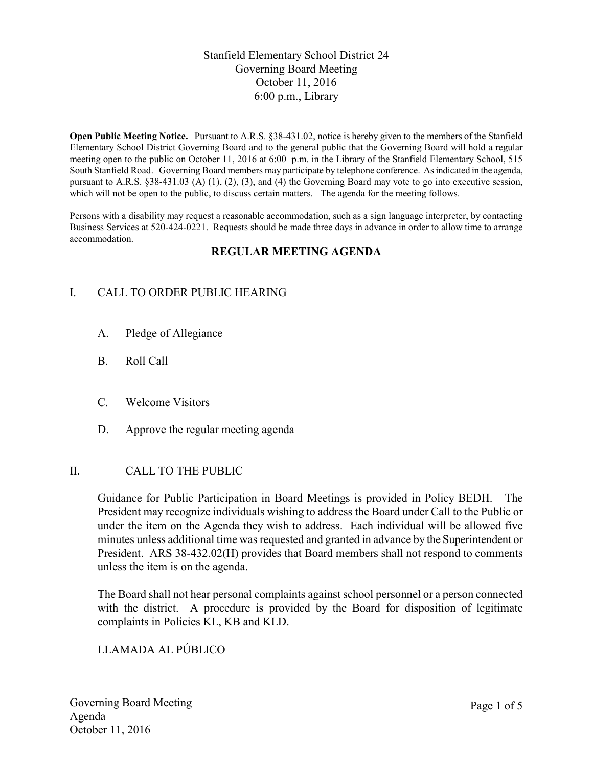# Stanfield Elementary School District 24 Governing Board Meeting October 11, 2016 6:00 p.m., Library

**Open Public Meeting Notice.** Pursuant to A.R.S. §38-431.02, notice is hereby given to the members of the Stanfield Elementary School District Governing Board and to the general public that the Governing Board will hold a regular meeting open to the public on October 11, 2016 at 6:00 p.m. in the Library of the Stanfield Elementary School, 515 South Stanfield Road. Governing Board members may participate by telephone conference. As indicated in the agenda, pursuant to A.R.S. §38-431.03 (A) (1), (2), (3), and (4) the Governing Board may vote to go into executive session, which will not be open to the public, to discuss certain matters. The agenda for the meeting follows.

Persons with a disability may request a reasonable accommodation, such as a sign language interpreter, by contacting Business Services at 520-424-0221. Requests should be made three days in advance in order to allow time to arrange accommodation.

# **REGULAR MEETING AGENDA**

# I. CALL TO ORDER PUBLIC HEARING

- A. Pledge of Allegiance
- B. Roll Call
- C. Welcome Visitors
- D. Approve the regular meeting agenda

#### II. CALL TO THE PUBLIC

Guidance for Public Participation in Board Meetings is provided in Policy BEDH. The President may recognize individuals wishing to address the Board under Call to the Public or under the item on the Agenda they wish to address. Each individual will be allowed five minutes unless additional time was requested and granted in advance by the Superintendent or President. ARS 38-432.02(H) provides that Board members shall not respond to comments unless the item is on the agenda.

The Board shall not hear personal complaints against school personnel or a person connected with the district. A procedure is provided by the Board for disposition of legitimate complaints in Policies KL, KB and KLD.

LLAMADA AL PÚBLICO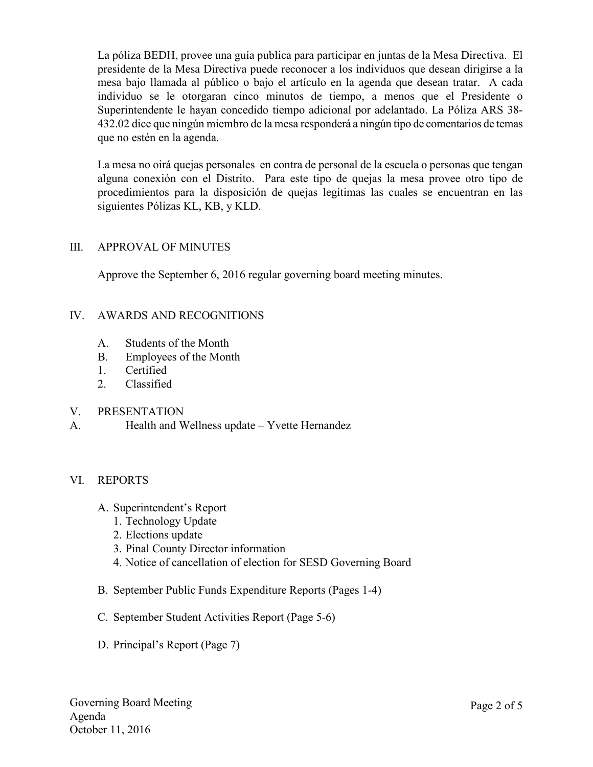La póliza BEDH, provee una guía publica para participar en juntas de la Mesa Directiva. El presidente de la Mesa Directiva puede reconocer a los individuos que desean dirigirse a la mesa bajo llamada al público o bajo el artículo en la agenda que desean tratar. A cada individuo se le otorgaran cinco minutos de tiempo, a menos que el Presidente o Superintendente le hayan concedido tiempo adicional por adelantado. La Póliza ARS 38- 432.02 dice que ningún miembro de la mesa responderá a ningún tipo de comentarios de temas que no estén en la agenda.

La mesa no oirá quejas personales en contra de personal de la escuela o personas que tengan alguna conexión con el Distrito. Para este tipo de quejas la mesa provee otro tipo de procedimientos para la disposición de quejas legítimas las cuales se encuentran en las siguientes Pólizas KL, KB, y KLD.

# III. APPROVAL OF MINUTES

Approve the September 6, 2016 regular governing board meeting minutes.

### IV. AWARDS AND RECOGNITIONS

- A. Students of the Month
- B. Employees of the Month
- 1. Certified
- 2. Classified

#### V. PRESENTATION

A. Health and Wellness update – Yvette Hernandez

# VI. REPORTS

- A. Superintendent's Report
	- 1. Technology Update
	- 2. Elections update
	- 3. Pinal County Director information
	- 4. Notice of cancellation of election for SESD Governing Board
- B. September Public Funds Expenditure Reports (Pages 1-4)
- C. September Student Activities Report (Page 5-6)
- D. Principal's Report (Page 7)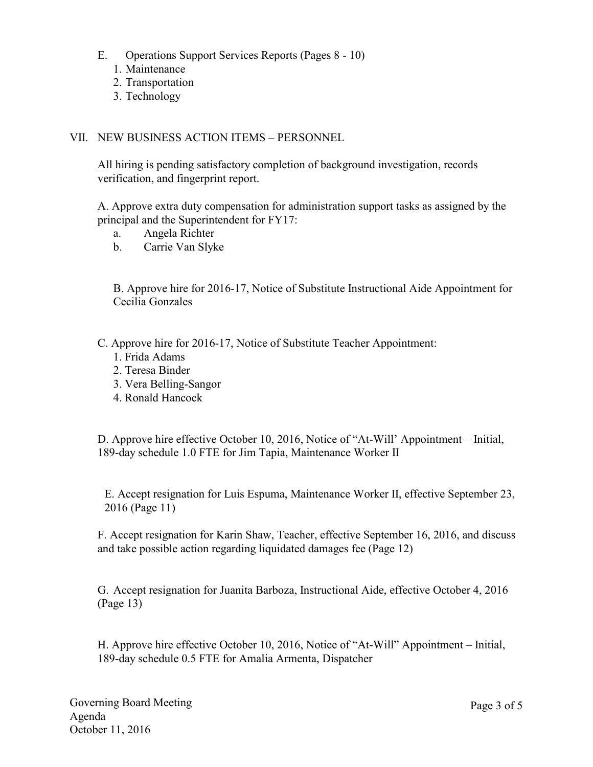- E. Operations Support Services Reports (Pages 8 10)
	- 1. Maintenance
	- 2. Transportation
	- 3. Technology

### VII. NEW BUSINESS ACTION ITEMS – PERSONNEL

All hiring is pending satisfactory completion of background investigation, records verification, and fingerprint report.

A. Approve extra duty compensation for administration support tasks as assigned by the principal and the Superintendent for FY17:

- a. Angela Richter
- b. Carrie Van Slyke

B. Approve hire for 2016-17, Notice of Substitute Instructional Aide Appointment for Cecilia Gonzales

C. Approve hire for 2016-17, Notice of Substitute Teacher Appointment:

- 1. Frida Adams
- 2. Teresa Binder
- 3. Vera Belling-Sangor
- 4. Ronald Hancock

D. Approve hire effective October 10, 2016, Notice of "At-Will' Appointment – Initial, 189-day schedule 1.0 FTE for Jim Tapia, Maintenance Worker II

E. Accept resignation for Luis Espuma, Maintenance Worker II, effective September 23, 2016 (Page 11)

F. Accept resignation for Karin Shaw, Teacher, effective September 16, 2016, and discuss and take possible action regarding liquidated damages fee (Page 12)

G. Accept resignation for Juanita Barboza, Instructional Aide, effective October 4, 2016 (Page 13)

H. Approve hire effective October 10, 2016, Notice of "At-Will" Appointment – Initial, 189-day schedule 0.5 FTE for Amalia Armenta, Dispatcher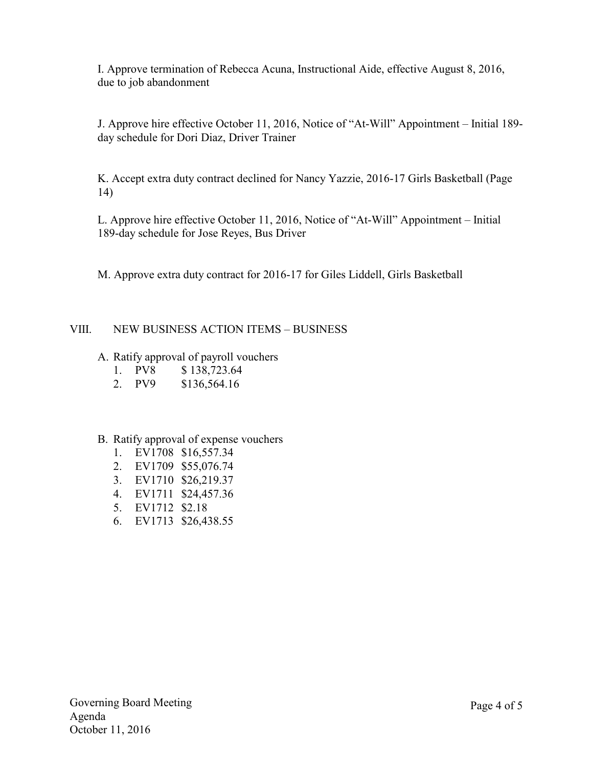I. Approve termination of Rebecca Acuna, Instructional Aide, effective August 8, 2016, due to job abandonment

J. Approve hire effective October 11, 2016, Notice of "At-Will" Appointment – Initial 189 day schedule for Dori Diaz, Driver Trainer

K. Accept extra duty contract declined for Nancy Yazzie, 2016-17 Girls Basketball (Page 14)

L. Approve hire effective October 11, 2016, Notice of "At-Will" Appointment – Initial 189-day schedule for Jose Reyes, Bus Driver

M. Approve extra duty contract for 2016-17 for Giles Liddell, Girls Basketball

# VIII. NEW BUSINESS ACTION ITEMS – BUSINESS

# A. Ratify approval of payroll vouchers

- 1. PV8 \$ 138,723.64
- 2. PV9 \$136,564.16

#### B. Ratify approval of expense vouchers

- 1. EV1708 \$16,557.34
- 2. EV1709 \$55,076.74
- 3. EV1710 \$26,219.37
- 4. EV1711 \$24,457.36
- 5. EV1712 \$2.18
- 6. EV1713 \$26,438.55